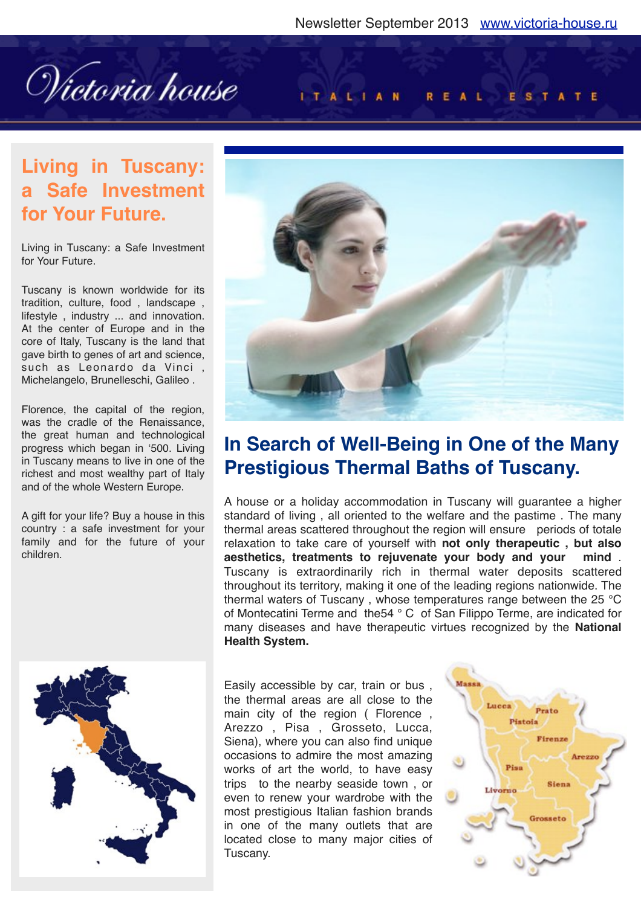Wictoria house

#### ITALIAN REAL ESTATE

## **Living in Tuscany: a Safe Investment for Your Future.**

Living in Tuscany: a Safe Investment for Your Future.

Tuscany is known worldwide for its tradition, culture, food , landscape , lifestyle , industry ... and innovation. At the center of Europe and in the core of Italy, Tuscany is the land that gave birth to genes of art and science, such as Leonardo da Vinci , Michelangelo, Brunelleschi, Galileo .

Florence, the capital of the region, was the cradle of the Renaissance, the great human and technological progress which began in '500. Living in Tuscany means to live in one of the richest and most wealthy part of Italy and of the whole Western Europe.

A gift for your life? Buy a house in this country : a safe investment for your family and for the future of your children.





## **In Search of Well-Being in One of the Many Prestigious Thermal Baths of Tuscany.**

A house or a holiday accommodation in Tuscany will guarantee a higher standard of living , all oriented to the welfare and the pastime . The many thermal areas scattered throughout the region will ensure periods of totale relaxation to take care of yourself with **not only therapeutic , but also aesthetics, treatments to rejuvenate your body and your mind** . Tuscany is extraordinarily rich in thermal water deposits scattered throughout its territory, making it one of the leading regions nationwide. The thermal waters of Tuscany , whose temperatures range between the 25 °C of Montecatini Terme and the54 ° C of San Filippo Terme, are indicated for many diseases and have therapeutic virtues recognized by the **National Health System.**

Easily accessible by car, train or bus , the thermal areas are all close to the main city of the region ( Florence , Arezzo , Pisa , Grosseto, Lucca, Siena), where you can also find unique occasions to admire the most amazing works of art the world, to have easy trips to the nearby seaside town , or even to renew your wardrobe with the most prestigious Italian fashion brands in one of the many outlets that are located close to many major cities of Tuscany.